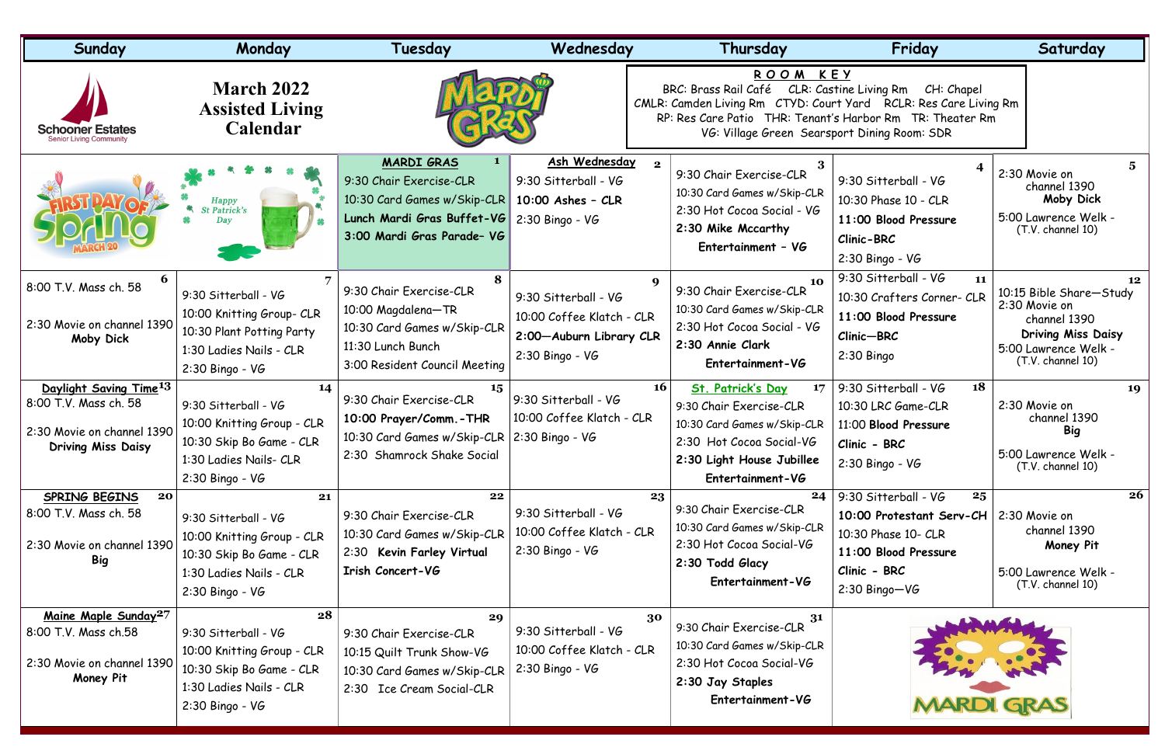| Sunday                                                                                                                 | Monday                                                                                                                               | Tuesday                                                                                                                                 | Wednesday                                                                                         | Thursday                                                                                                                                                                                                          | Friday                                                                                                                                   | Saturday                                                                                                                                 |
|------------------------------------------------------------------------------------------------------------------------|--------------------------------------------------------------------------------------------------------------------------------------|-----------------------------------------------------------------------------------------------------------------------------------------|---------------------------------------------------------------------------------------------------|-------------------------------------------------------------------------------------------------------------------------------------------------------------------------------------------------------------------|------------------------------------------------------------------------------------------------------------------------------------------|------------------------------------------------------------------------------------------------------------------------------------------|
| <b>Schooner Estates</b><br>Senior Livina Community                                                                     | <b>March 2022</b><br><b>Assisted Living</b><br>Calendar                                                                              |                                                                                                                                         |                                                                                                   | ROOM KEY<br>BRC: Brass Rail Café<br>CMLR: Camden Living Rm CTYD: Court Yard RCLR: Res Care Living Rm<br>RP: Res Care Patio THR: Tenant's Harbor Rm TR: Theater Rm<br>VG: Village Green Searsport Dining Room: SDR | CLR: Castine Living Rm<br>CH: Chapel                                                                                                     |                                                                                                                                          |
|                                                                                                                        | <b>Happy</b><br>St Patrick's<br>Day                                                                                                  | <b>MARDI GRAS</b><br>9:30 Chair Exercise-CLR<br>10:30 Card Games w/Skip-CLR<br>Lunch Mardi Gras Buffet-VG<br>3:00 Mardi Gras Parade- VG | Ash Wednesday<br>9:30 Sitterball - VG<br>$10:00$ Ashes - CLR<br>$2:30$ Bingo - VG                 | $\mathbf{2}$<br>9:30 Chair Exercise-CLR<br>10:30 Card Games w/Skip-CLR<br>2:30 Hot Cocoa Social - VG<br>2:30 Mike Mccarthy<br>Entertainment - VG                                                                  | 9:30 Sitterball - VG<br>10:30 Phase 10 - CLR<br>11:00 Blood Pressure<br>Clinic-BRC<br>$2:30$ Bingo - VG                                  | 2:30 Movie on<br>channel 1390<br>Moby Dick<br>5:00 Lawrence Welk -<br>(T.V. channel 10)                                                  |
| 8:00 T.V. Mass ch. 58<br>2:30 Movie on channel 1390<br>Moby Dick                                                       | 9:30 Sitterball - VG<br>10:00 Knitting Group- CLR<br>10:30 Plant Potting Party<br>1:30 Ladies Nails - CLR<br>$2:30$ Bingo - VG       | 8<br>9:30 Chair Exercise-CLR<br>10:00 Magdalena-TR<br>10:30 Card Games w/Skip-CLR<br>11:30 Lunch Bunch<br>3:00 Resident Council Meeting | 9:30 Sitterball - VG<br>10:00 Coffee Klatch - CLR<br>2:00-Auburn Library CLR<br>$2:30$ Bingo - VG | 9<br>10<br>9:30 Chair Exercise-CLR<br>10:30 Card Games w/Skip-CLR<br>2:30 Hot Cocoa Social - VG<br>2:30 Annie Clark<br>Entertainment-VG                                                                           | 9:30 Sitterball - VG<br>11<br>10:30 Crafters Corner- CLR<br>11:00 Blood Pressure<br>Clinic-BRC<br>2:30 Bingo                             | 12<br>10:15 Bible Share-Study<br>2:30 Movie on<br>channel 1390<br><b>Driving Miss Daisy</b><br>5:00 Lawrence Welk -<br>(T.V. channel 10) |
| Daylight Saving Time <sup>13</sup><br>8:00 T.V. Mass ch. 58<br>2:30 Movie on channel 1390<br><b>Driving Miss Daisy</b> | 14<br>9:30 Sitterball - VG<br>10:00 Knitting Group - CLR<br>10:30 Skip Bo Game - CLR<br>1:30 Ladies Nails- CLR<br>$2:30$ Bingo - VG  | 9:30 Chair Exercise-CLR<br>10:00 Prayer/Comm. - THR<br>10:30 Card Games w/Skip-CLR<br>2:30 Shamrock Shake Social                        | 9:30 Sitterball - VG<br>10:00 Coffee Klatch - CLR<br>$2:30$ Bingo - VG                            | <b>16</b><br>St. Patrick's Day<br>17<br>9:30 Chair Exercise-CLR<br>10:30 Card Games w/Skip-CLR<br>2:30 Hot Cocoa Social-VG<br>2:30 Light House Jubillee<br>Entertainment-VG                                       | 18<br>9:30 Sitterball - VG<br>10:30 LRC Game-CLR<br>11:00 Blood Pressure<br>Clinic - BRC<br>$2:30$ Bingo - VG                            | 19<br>2:30 Movie on<br>channel 1390<br><b>Big</b><br>5:00 Lawrence Welk -<br>(T.V. channel 10)                                           |
| SPRING BEGINS<br>20<br>8:00 T.V. Mass ch. 58<br>2:30 Movie on channel 1390<br><b>Big</b>                               | 21<br>9:30 Sitterball - VG<br>10:00 Knitting Group - CLR<br>10:30 Skip Bo Game - CLR<br>1:30 Ladies Nails - CLR<br>2:30 Bingo - VG   | 22<br>9:30 Chair Exercise-CLR<br>10:30 Card Games w/Skip-CLR<br>2:30 Kevin Farley Virtual<br>Irish Concert-VG                           | 9:30 Sitterball - VG<br>10:00 Coffee Klatch - CLR<br>$2:30$ Bingo - VG                            | 24<br>23<br>9:30 Chair Exercise-CLR<br>10:30 Card Games w/Skip-CLR<br>2:30 Hot Cocoa Social-VG<br>2:30 Todd Glacy<br>Entertainment-VG                                                                             | 25<br>9:30 Sitterball - VG<br>10:00 Protestant Serv-CH<br>10:30 Phase 10- CLR<br>11:00 Blood Pressure<br>Clinic - BRC<br>$2:30$ Bingo-VG | 26<br>2:30 Movie on<br>channel 1390<br>Money Pit<br>5:00 Lawrence Welk -<br>(T.V. channel 10)                                            |
| Maine Maple Sunday <sup>27</sup><br>8:00 T.V. Mass ch.58<br>2:30 Movie on channel 1390<br>Money Pit                    | 28<br>9:30 Sitterball - VG<br>10:00 Knitting Group - CLR<br>10:30 Skip Bo Game - CLR<br>1:30 Ladies Nails - CLR<br>$2:30$ Bingo - VG | 29<br>9:30 Chair Exercise-CLR<br>10:15 Quilt Trunk Show-VG<br>10:30 Card Games w/Skip-CLR<br>2:30 Ice Cream Social-CLR                  | 9:30 Sitterball - VG<br>10:00 Coffee Klatch - CLR<br>$2:30$ Bingo - VG                            | 30<br>31<br>9:30 Chair Exercise-CLR<br>10:30 Card Games w/Skip-CLR<br>2:30 Hot Cocoa Social-VG<br>2:30 Jay Staples<br>Entertainment-VG                                                                            |                                                                                                                                          |                                                                                                                                          |